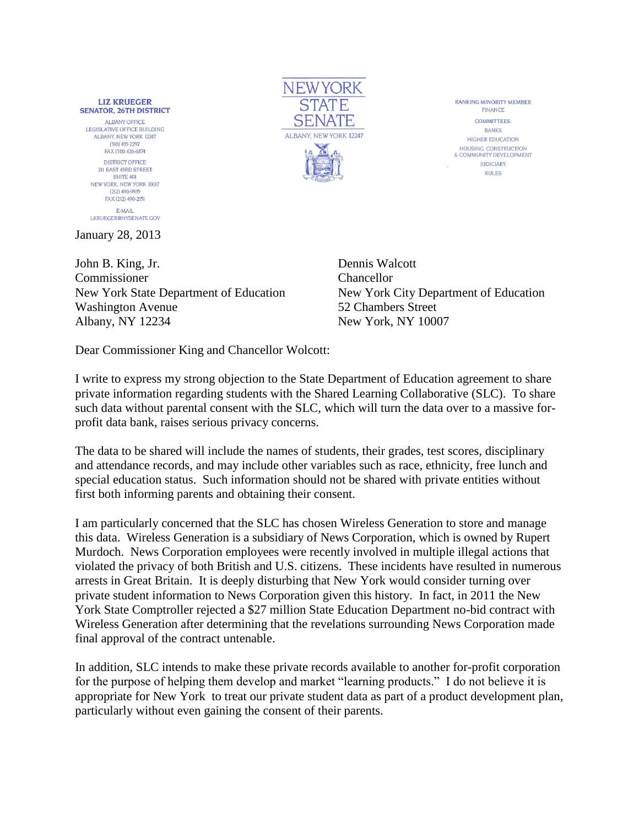**LIZ KRUEGER SENATOR, 26TH DISTRICT ALBANY OFFICE** LEGISLATIVE OFFICE BUILDING ALBANY, NEW YORK 12247  $(518)$  455-2297 FAX (518) 426-6874 DISTRICT OFFICE 211 EAST 43RD STREET **SUITE 401** NEW YORK, NEW YORK 10017 (212) 490-9535 FAX (212) 490-2151 E-MAIL LKRUEGER@NYSENATE.GOV

January 28, 2013

John B. King, Jr. Dennis Walcott Commissioner Chancellor New York State Department of Education New York City Department of Education Washington Avenue 52 Chambers Street Albany, NY 12234 New York, NY 10007

**NEWYORK STATE** SENATE ALBANY, NEW YORK 12247

RANKING MINORITY MEMBER FINANCE **COMMITTEES BANKS HIGHER EDUCATION** HOUSING CONSTRUCTION & COMMUNITY DEVELOPMENT **JUDICIARY RIII FS** 

Dear Commissioner King and Chancellor Wolcott:

I write to express my strong objection to the State Department of Education agreement to share private information regarding students with the Shared Learning Collaborative (SLC). To share such data without parental consent with the SLC, which will turn the data over to a massive forprofit data bank, raises serious privacy concerns.

The data to be shared will include the names of students, their grades, test scores, disciplinary and attendance records, and may include other variables such as race, ethnicity, free lunch and special education status. Such information should not be shared with private entities without first both informing parents and obtaining their consent.

I am particularly concerned that the SLC has chosen Wireless Generation to store and manage this data. Wireless Generation is a subsidiary of News Corporation, which is owned by Rupert Murdoch. News Corporation employees were recently involved in multiple illegal actions that violated the privacy of both British and U.S. citizens. These incidents have resulted in numerous arrests in Great Britain. It is deeply disturbing that New York would consider turning over private student information to News Corporation given this history. In fact, in 2011 the New York State Comptroller rejected a \$27 million State Education Department no-bid contract with Wireless Generation after determining that the revelations surrounding News Corporation made final approval of the contract untenable.

In addition, SLC intends to make these private records available to another for-profit corporation for the purpose of helping them develop and market "learning products." I do not believe it is appropriate for New York to treat our private student data as part of a product development plan, particularly without even gaining the consent of their parents.